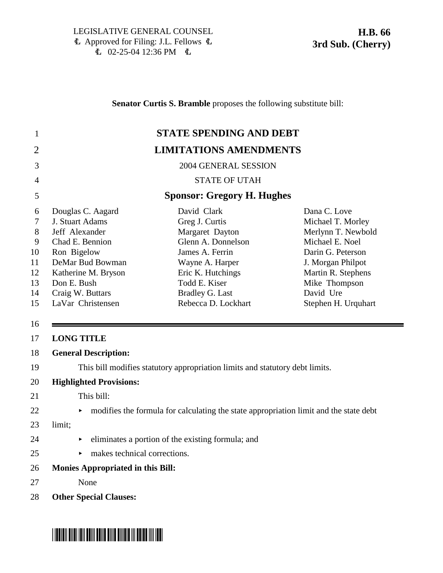\*HB0066S03\*

**Senator Curtis S. Bramble** proposes the following substitute bill:

|                                                                                                                                                                                                                                                                | <b>STATE SPENDING AND DEBT</b>                                                                                                                                                                      |                                                                                                                                                                                                 |
|----------------------------------------------------------------------------------------------------------------------------------------------------------------------------------------------------------------------------------------------------------------|-----------------------------------------------------------------------------------------------------------------------------------------------------------------------------------------------------|-------------------------------------------------------------------------------------------------------------------------------------------------------------------------------------------------|
|                                                                                                                                                                                                                                                                | <b>LIMITATIONS AMENDMENTS</b>                                                                                                                                                                       |                                                                                                                                                                                                 |
|                                                                                                                                                                                                                                                                | 2004 GENERAL SESSION                                                                                                                                                                                |                                                                                                                                                                                                 |
| $\overline{4}$                                                                                                                                                                                                                                                 | <b>STATE OF UTAH</b>                                                                                                                                                                                |                                                                                                                                                                                                 |
|                                                                                                                                                                                                                                                                | <b>Sponsor: Gregory H. Hughes</b>                                                                                                                                                                   |                                                                                                                                                                                                 |
| Douglas C. Aagard<br>6<br>J. Stuart Adams<br>$\tau$<br>8<br>Jeff Alexander<br>9<br>Chad E. Bennion<br>Ron Bigelow<br>10<br>DeMar Bud Bowman<br>11<br>Katherine M. Bryson<br>12<br>Don E. Bush<br>13<br>Craig W. Buttars<br>14<br>LaVar Christensen<br>15<br>16 | David Clark<br>Greg J. Curtis<br>Margaret Dayton<br>Glenn A. Donnelson<br>James A. Ferrin<br>Wayne A. Harper<br>Eric K. Hutchings<br>Todd E. Kiser<br><b>Bradley G. Last</b><br>Rebecca D. Lockhart | Dana C. Love<br>Michael T. Morley<br>Merlynn T. Newbold<br>Michael E. Noel<br>Darin G. Peterson<br>J. Morgan Philpot<br>Martin R. Stephens<br>Mike Thompson<br>David Ure<br>Stephen H. Urquhart |
| <b>LONG TITLE</b><br>17                                                                                                                                                                                                                                        |                                                                                                                                                                                                     |                                                                                                                                                                                                 |
|                                                                                                                                                                                                                                                                |                                                                                                                                                                                                     |                                                                                                                                                                                                 |
| <b>General Description:</b>                                                                                                                                                                                                                                    |                                                                                                                                                                                                     |                                                                                                                                                                                                 |
|                                                                                                                                                                                                                                                                | This bill modifies statutory appropriation limits and statutory debt limits.                                                                                                                        |                                                                                                                                                                                                 |
| <b>Highlighted Provisions:</b>                                                                                                                                                                                                                                 |                                                                                                                                                                                                     |                                                                                                                                                                                                 |
| This bill:                                                                                                                                                                                                                                                     |                                                                                                                                                                                                     |                                                                                                                                                                                                 |
| ►                                                                                                                                                                                                                                                              | modifies the formula for calculating the state appropriation limit and the state debt                                                                                                               |                                                                                                                                                                                                 |
| limit;                                                                                                                                                                                                                                                         |                                                                                                                                                                                                     |                                                                                                                                                                                                 |
| 18<br>19<br>20<br>24                                                                                                                                                                                                                                           | eliminates a portion of the existing formula; and                                                                                                                                                   |                                                                                                                                                                                                 |
| makes technical corrections.                                                                                                                                                                                                                                   |                                                                                                                                                                                                     |                                                                                                                                                                                                 |
| 26                                                                                                                                                                                                                                                             |                                                                                                                                                                                                     |                                                                                                                                                                                                 |
| <b>Monies Appropriated in this Bill:</b><br>None                                                                                                                                                                                                               |                                                                                                                                                                                                     |                                                                                                                                                                                                 |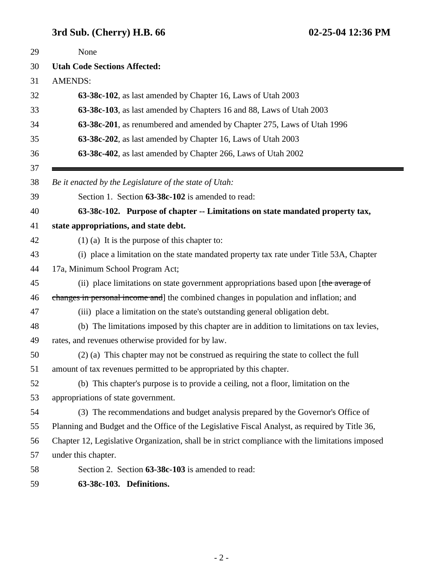# **3rd Sub. (Cherry) H.B. 66 02-25-04 12:36 PM**

| 29 | None                                                                                             |
|----|--------------------------------------------------------------------------------------------------|
| 30 | <b>Utah Code Sections Affected:</b>                                                              |
| 31 | <b>AMENDS:</b>                                                                                   |
| 32 | 63-38c-102, as last amended by Chapter 16, Laws of Utah 2003                                     |
| 33 | 63-38c-103, as last amended by Chapters 16 and 88, Laws of Utah 2003                             |
| 34 | 63-38c-201, as renumbered and amended by Chapter 275, Laws of Utah 1996                          |
| 35 | 63-38c-202, as last amended by Chapter 16, Laws of Utah 2003                                     |
| 36 | 63-38c-402, as last amended by Chapter 266, Laws of Utah 2002                                    |
| 37 |                                                                                                  |
| 38 | Be it enacted by the Legislature of the state of Utah:                                           |
| 39 | Section 1. Section 63-38c-102 is amended to read:                                                |
| 40 | 63-38c-102. Purpose of chapter -- Limitations on state mandated property tax,                    |
| 41 | state appropriations, and state debt.                                                            |
| 42 | $(1)$ (a) It is the purpose of this chapter to:                                                  |
| 43 | (i) place a limitation on the state mandated property tax rate under Title 53A, Chapter          |
| 44 | 17a, Minimum School Program Act;                                                                 |
| 45 | (ii) place limitations on state government appropriations based upon [the average of             |
| 46 | changes in personal income and the combined changes in population and inflation; and             |
| 47 | (iii) place a limitation on the state's outstanding general obligation debt.                     |
| 48 | (b) The limitations imposed by this chapter are in addition to limitations on tax levies,        |
| 49 | rates, and revenues otherwise provided for by law.                                               |
| 50 | (2) (a) This chapter may not be construed as requiring the state to collect the full             |
| 51 | amount of tax revenues permitted to be appropriated by this chapter.                             |
| 52 | (b) This chapter's purpose is to provide a ceiling, not a floor, limitation on the               |
| 53 | appropriations of state government.                                                              |
| 54 | (3) The recommendations and budget analysis prepared by the Governor's Office of                 |
| 55 | Planning and Budget and the Office of the Legislative Fiscal Analyst, as required by Title 36,   |
| 56 | Chapter 12, Legislative Organization, shall be in strict compliance with the limitations imposed |
| 57 | under this chapter.                                                                              |
| 58 | Section 2. Section 63-38c-103 is amended to read:                                                |
| 59 | 63-38c-103. Definitions.                                                                         |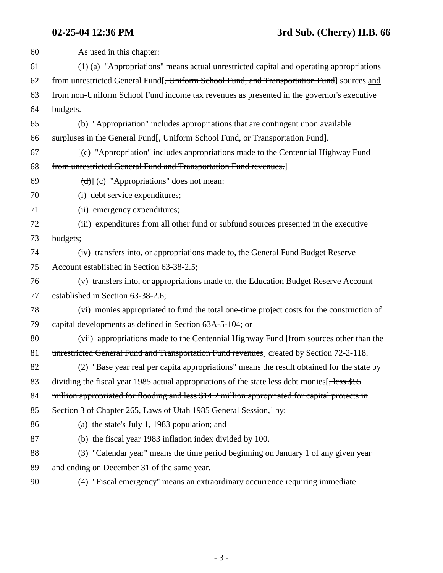| 60 | As used in this chapter:                                                                                  |
|----|-----------------------------------------------------------------------------------------------------------|
| 61 | (1) (a) "Appropriations" means actual unrestricted capital and operating appropriations                   |
| 62 | from unrestricted General Fund[ <del>, Uniform School Fund, and Transportation Fund</del> ] sources and   |
| 63 | from non-Uniform School Fund income tax revenues as presented in the governor's executive                 |
| 64 | budgets.                                                                                                  |
| 65 | (b) "Appropriation" includes appropriations that are contingent upon available                            |
| 66 | surpluses in the General Fund[ <del>, Uniform School Fund, or Transportation Fund</del> ].                |
| 67 | [(c) "Appropriation" includes appropriations made to the Centennial Highway Fund                          |
| 68 | from unrestricted General Fund and Transportation Fund revenues.]                                         |
| 69 | $[\text{(\text{d})}]$ (c) "Appropriations" does not mean:                                                 |
| 70 | (i) debt service expenditures;                                                                            |
| 71 | (ii) emergency expenditures;                                                                              |
| 72 | (iii) expenditures from all other fund or subfund sources presented in the executive                      |
| 73 | budgets;                                                                                                  |
| 74 | (iv) transfers into, or appropriations made to, the General Fund Budget Reserve                           |
| 75 | Account established in Section 63-38-2.5;                                                                 |
| 76 | (v) transfers into, or appropriations made to, the Education Budget Reserve Account                       |
| 77 | established in Section 63-38-2.6;                                                                         |
| 78 | (vi) monies appropriated to fund the total one-time project costs for the construction of                 |
| 79 | capital developments as defined in Section 63A-5-104; or                                                  |
| 80 | (vii) appropriations made to the Centennial Highway Fund [from sources other than the                     |
| 81 | unrestricted General Fund and Transportation Fund revenues] created by Section 72-2-118.                  |
| 82 | (2) "Base year real per capita appropriations" means the result obtained for the state by                 |
| 83 | dividing the fiscal year 1985 actual appropriations of the state less debt monies <sup>[, less \$55</sup> |
| 84 | million appropriated for flooding and less \$14.2 million appropriated for capital projects in            |
| 85 | Section 3 of Chapter 265, Laws of Utah 1985 General Session, by:                                          |
| 86 | (a) the state's July 1, 1983 population; and                                                              |
| 87 | (b) the fiscal year 1983 inflation index divided by 100.                                                  |
| 88 | (3) "Calendar year" means the time period beginning on January 1 of any given year                        |
| 89 | and ending on December 31 of the same year.                                                               |
|    |                                                                                                           |

90 (4) "Fiscal emergency" means an extraordinary occurrence requiring immediate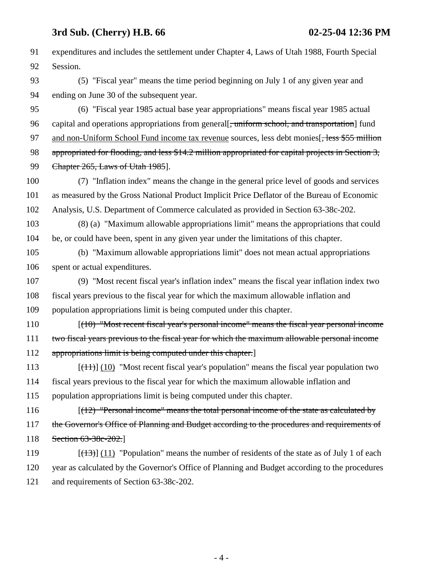### **3rd Sub. (Cherry) H.B. 66 02-25-04 12:36 PM**

91 expenditures and includes the settlement under Chapter 4, Laws of Utah 1988, Fourth Special 92 Session. 93 (5) "Fiscal year" means the time period beginning on July 1 of any given year and 94 ending on June 30 of the subsequent year. 95 (6) "Fiscal year 1985 actual base year appropriations" means fiscal year 1985 actual 96 capital and operations appropriations from general. uniform school, and transportation fund 97 and non-Uniform School Fund income tax revenue sources, less debt monies [, less \$55 million 98 appropriated for flooding, and less \$14.2 million appropriated for capital projects in Section 3, 99 Chapter 265, Laws of Utah 1985]. 100 (7) "Inflation index" means the change in the general price level of goods and services 101 as measured by the Gross National Product Implicit Price Deflator of the Bureau of Economic 102 Analysis, U.S. Department of Commerce calculated as provided in Section 63-38c-202. 103 (8) (a) "Maximum allowable appropriations limit" means the appropriations that could 104 be, or could have been, spent in any given year under the limitations of this chapter. 105 (b) "Maximum allowable appropriations limit" does not mean actual appropriations 106 spent or actual expenditures. 107 (9) "Most recent fiscal year's inflation index" means the fiscal year inflation index two 108 fiscal years previous to the fiscal year for which the maximum allowable inflation and 109 population appropriations limit is being computed under this chapter. 110 [(10) "Most recent fiscal year's personal income" means the fiscal year personal income 111 two fiscal years previous to the fiscal year for which the maximum allowable personal income 112 appropriations limit is being computed under this chapter. 113  $[(11)(10)$  "Most recent fiscal year's population" means the fiscal year population two 114 fiscal years previous to the fiscal year for which the maximum allowable inflation and 115 population appropriations limit is being computed under this chapter. 116 [(12) "Personal income" means the total personal income of the state as calculated by 117 the Governor's Office of Planning and Budget according to the procedures and requirements of 118 Section 63-38c-202.] 119  $[(13)] (11)$  "Population" means the number of residents of the state as of July 1 of each 120 year as calculated by the Governor's Office of Planning and Budget according to the procedures 121 and requirements of Section 63-38c-202.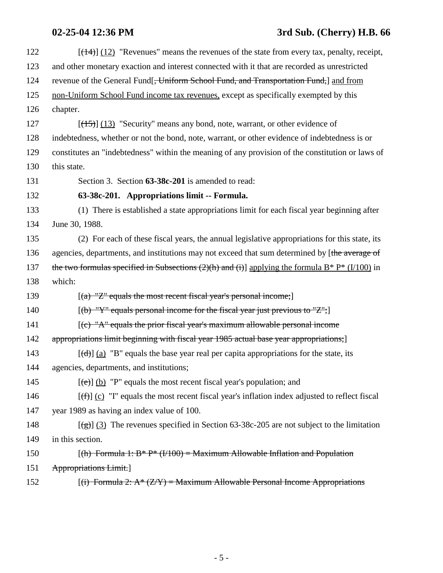# **02-25-04 12:36 PM 3rd Sub. (Cherry) H.B. 66**

| 122 | $[$ ( $\frac{14}{2}$ ) $\frac{12}{2}$ "Revenues" means the revenues of the state from every tax, penalty, receipt, |
|-----|--------------------------------------------------------------------------------------------------------------------|
| 123 | and other monetary exaction and interest connected with it that are recorded as unrestricted                       |
| 124 | revenue of the General Fund[ <del>, Uniform School Fund, and Transportation Fund,</del> ] and from                 |
| 125 | non-Uniform School Fund income tax revenues, except as specifically exempted by this                               |
| 126 | chapter.                                                                                                           |
| 127 | $[ (15) ] (13)$ "Security" means any bond, note, warrant, or other evidence of                                     |
| 128 | indebtedness, whether or not the bond, note, warrant, or other evidence of indebtedness is or                      |
| 129 | constitutes an "indebtedness" within the meaning of any provision of the constitution or laws of                   |
| 130 | this state.                                                                                                        |
| 131 | Section 3. Section 63-38c-201 is amended to read:                                                                  |
| 132 | 63-38c-201. Appropriations limit -- Formula.                                                                       |
| 133 | (1) There is established a state appropriations limit for each fiscal year beginning after                         |
| 134 | June 30, 1988.                                                                                                     |
| 135 | (2) For each of these fiscal years, the annual legislative appropriations for this state, its                      |
| 136 | agencies, departments, and institutions may not exceed that sum determined by [the average of                      |
| 137 | the two formulas specified in Subsections (2)(h) and (i)] applying the formula $B^* P^* (1/100)$ in                |
| 138 | which:                                                                                                             |
| 139 | $[(a)$ "Z" equals the most recent fiscal year's personal income;                                                   |
| 140 | $[(b)$ "Y" equals personal income for the fiscal year just previous to "Z";                                        |
| 141 | $[$ (c) "A" equals the prior fiscal year's maximum allowable personal income                                       |
| 142 | appropriations limit beginning with fiscal year 1985 actual base year appropriations;                              |
| 143 | $[\text{(\text{d})}]$ (a) "B" equals the base year real per capita appropriations for the state, its               |
| 144 | agencies, departments, and institutions;                                                                           |
| 145 | $[\text{e}(\text{e})]$ (b) "P" equals the most recent fiscal year's population; and                                |
| 146 | $[\text{ff}](\text{c})$ "I" equals the most recent fiscal year's inflation index adjusted to reflect fiscal        |
| 147 | year 1989 as having an index value of 100.                                                                         |
| 148 | $[\frac{1}{2}]$ (3) The revenues specified in Section 63-38c-205 are not subject to the limitation                 |
| 149 | in this section.                                                                                                   |
| 150 | $[(h)$ Formula 1: B* P* (I/100) = Maximum Allowable Inflation and Population                                       |
| 151 | Appropriations Limit.                                                                                              |
| 152 | $[(i)$ Formula 2: $A^*(Z/Y)$ = Maximum Allowable Personal Income Appropriations                                    |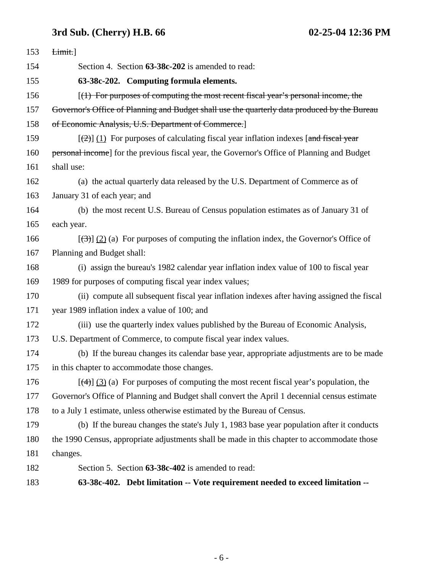### **3rd Sub. (Cherry) H.B. 66 02-25-04 12:36 PM**

| 153 | Limit.]                                                                                                         |
|-----|-----------------------------------------------------------------------------------------------------------------|
| 154 | Section 4. Section 63-38c-202 is amended to read:                                                               |
| 155 | 63-38c-202. Computing formula elements.                                                                         |
| 156 | $(1)$ For purposes of computing the most recent fiscal year's personal income, the                              |
| 157 | Governor's Office of Planning and Budget shall use the quarterly data produced by the Bureau                    |
| 158 | of Economic Analysis, U.S. Department of Commerce.]                                                             |
| 159 | $[\frac{1}{2}]$ (1) For purposes of calculating fiscal year inflation indexes [and fiscal year                  |
| 160 | personal income] for the previous fiscal year, the Governor's Office of Planning and Budget                     |
| 161 | shall use:                                                                                                      |
| 162 | (a) the actual quarterly data released by the U.S. Department of Commerce as of                                 |
| 163 | January 31 of each year; and                                                                                    |
| 164 | (b) the most recent U.S. Bureau of Census population estimates as of January 31 of                              |
| 165 | each year.                                                                                                      |
| 166 | $[\frac{(\lambda)}{(\lambda)}]$ (2) (a) For purposes of computing the inflation index, the Governor's Office of |
| 167 | Planning and Budget shall:                                                                                      |
| 168 | (i) assign the bureau's 1982 calendar year inflation index value of 100 to fiscal year                          |
| 169 | 1989 for purposes of computing fiscal year index values;                                                        |
| 170 | (ii) compute all subsequent fiscal year inflation indexes after having assigned the fiscal                      |
| 171 | year 1989 inflation index a value of 100; and                                                                   |
| 172 | (iii) use the quarterly index values published by the Bureau of Economic Analysis,                              |
| 173 | U.S. Department of Commerce, to compute fiscal year index values.                                               |
| 174 | (b) If the bureau changes its calendar base year, appropriate adjustments are to be made                        |
| 175 | in this chapter to accommodate those changes.                                                                   |
| 176 | $[\frac{4}{3}]$ (3) (a) For purposes of computing the most recent fiscal year's population, the                 |
| 177 | Governor's Office of Planning and Budget shall convert the April 1 decennial census estimate                    |
| 178 | to a July 1 estimate, unless otherwise estimated by the Bureau of Census.                                       |
| 179 | (b) If the bureau changes the state's July 1, 1983 base year population after it conducts                       |
| 180 | the 1990 Census, appropriate adjustments shall be made in this chapter to accommodate those                     |
| 181 | changes.                                                                                                        |
| 182 | Section 5. Section 63-38c-402 is amended to read:                                                               |
| 183 | 63-38c-402. Debt limitation -- Vote requirement needed to exceed limitation --                                  |